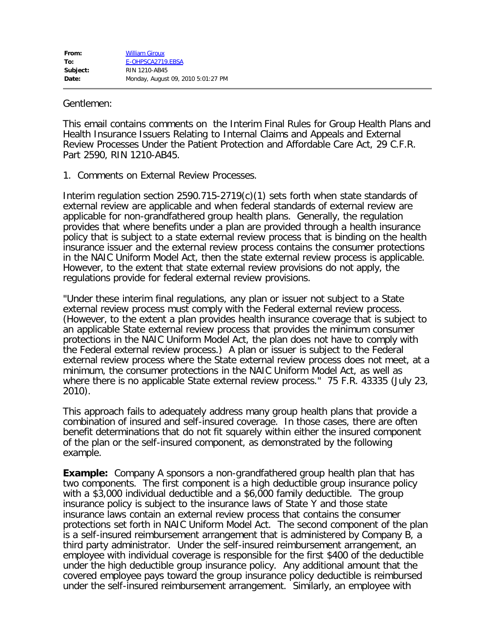## Gentlemen:

This email contains comments on the Interim Final Rules for Group Health Plans and Health Insurance Issuers Relating to Internal Claims and Appeals and External Review Processes Under the Patient Protection and Affordable Care Act, 29 C.F.R. Part 2590, RIN 1210-AB45.

1. Comments on External Review Processes.

Interim regulation section 2590.715-2719(c)(1) sets forth when state standards of external review are applicable and when federal standards of external review are applicable for non-grandfathered group health plans. Generally, the regulation provides that where benefits under a plan are provided through a health insurance policy that is subject to a state external review process that is binding on the health insurance issuer and the external review process contains the consumer protections in the NAIC Uniform Model Act, then the state external review process is applicable. However, to the extent that state external review provisions do not apply, the regulations provide for federal external review provisions.

"Under these interim final regulations, any plan or issuer not subject to a State external review process must comply with the Federal external review process. (However, to the extent a plan provides health insurance coverage that is subject to an applicable State external review process that provides the minimum consumer protections in the NAIC Uniform Model Act, the plan does not have to comply with the Federal external review process.) A plan or issuer is subject to the Federal external review process where the State external review process does not meet, at a minimum, the consumer protections in the NAIC Uniform Model Act, as well as where there is no applicable State external review process." 75 F.R. 43335 (July 23, 2010).

This approach fails to adequately address many group health plans that provide a combination of insured and self-insured coverage. In those cases, there are often benefit determinations that do not fit squarely within either the insured component of the plan or the self-insured component, as demonstrated by the following example.

**Example:** Company A sponsors a non-grandfathered group health plan that has two components. The first component is a high deductible group insurance policy with a \$3,000 individual deductible and a \$6,000 family deductible. The group insurance policy is subject to the insurance laws of State Y and those state insurance laws contain an external review process that contains the consumer protections set forth in NAIC Uniform Model Act. The second component of the plan is a self-insured reimbursement arrangement that is administered by Company B, a third party administrator. Under the self-insured reimbursement arrangement, an employee with individual coverage is responsible for the first \$400 of the deductible under the high deductible group insurance policy. Any additional amount that the covered employee pays toward the group insurance policy deductible is reimbursed under the self-insured reimbursement arrangement. Similarly, an employee with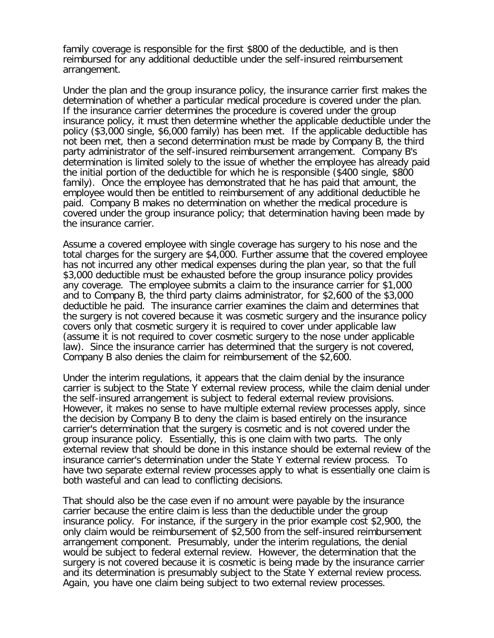family coverage is responsible for the first \$800 of the deductible, and is then reimbursed for any additional deductible under the self-insured reimbursement arrangement.

Under the plan and the group insurance policy, the insurance carrier first makes the determination of whether a particular medical procedure is covered under the plan. If the insurance carrier determines the procedure is covered under the group insurance policy, it must then determine whether the applicable deductible under the policy (\$3,000 single, \$6,000 family) has been met. If the applicable deductible has not been met, then a second determination must be made by Company B, the third party administrator of the self-insured reimbursement arrangement. Company B's determination is limited solely to the issue of whether the employee has already paid the initial portion of the deductible for which he is responsible (\$400 single, \$800 family). Once the employee has demonstrated that he has paid that amount, the employee would then be entitled to reimbursement of any additional deductible he paid. Company B makes no determination on whether the medical procedure is covered under the group insurance policy; that determination having been made by the insurance carrier.

Assume a covered employee with single coverage has surgery to his nose and the total charges for the surgery are \$4,000. Further assume that the covered employee has not incurred any other medical expenses during the plan year, so that the full \$3,000 deductible must be exhausted before the group insurance policy provides any coverage. The employee submits a claim to the insurance carrier for \$1,000 and to Company B, the third party claims administrator, for \$2,600 of the \$3,000 deductible he paid. The insurance carrier examines the claim and determines that the surgery is not covered because it was cosmetic surgery and the insurance policy covers only that cosmetic surgery it is required to cover under applicable law (assume it is not required to cover cosmetic surgery to the nose under applicable law). Since the insurance carrier has determined that the surgery is not covered, Company B also denies the claim for reimbursement of the \$2,600.

Under the interim regulations, it appears that the claim denial by the insurance carrier is subject to the State Y external review process, while the claim denial under the self-insured arrangement is subject to federal external review provisions. However, it makes no sense to have multiple external review processes apply, since the decision by Company B to deny the claim is based entirely on the insurance carrier's determination that the surgery is cosmetic and is not covered under the group insurance policy. Essentially, this is one claim with two parts. The only external review that should be done in this instance should be external review of the insurance carrier's determination under the State Y external review process. To have two separate external review processes apply to what is essentially one claim is both wasteful and can lead to conflicting decisions.

That should also be the case even if no amount were payable by the insurance carrier because the entire claim is less than the deductible under the group insurance policy. For instance, if the surgery in the prior example cost \$2,900, the only claim would be reimbursement of \$2,500 from the self-insured reimbursement arrangement component. Presumably, under the interim regulations, the denial would be subject to federal external review. However, the determination that the surgery is not covered because it is cosmetic is being made by the insurance carrier and its determination is presumably subject to the State Y external review process. Again, you have one claim being subject to two external review processes.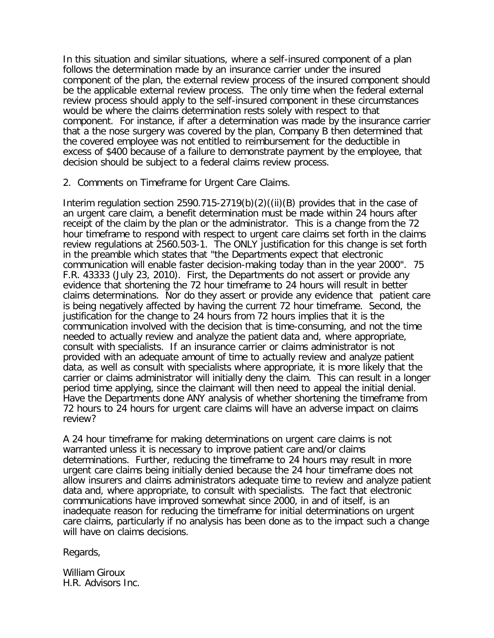In this situation and similar situations, where a self-insured component of a plan follows the determination made by an insurance carrier under the insured component of the plan, the external review process of the insured component should be the applicable external review process. The only time when the federal external review process should apply to the self-insured component in these circumstances would be where the claims determination rests solely with respect to that component. For instance, if after a determination was made by the insurance carrier that a the nose surgery was covered by the plan, Company B then determined that the covered employee was not entitled to reimbursement for the deductible in excess of \$400 because of a failure to demonstrate payment by the employee, that decision should be subject to a federal claims review process.

2. Comments on Timeframe for Urgent Care Claims.

Interim regulation section 2590.715-2719(b)(2)((ii)(B) provides that in the case of an urgent care claim, a benefit determination must be made within 24 hours after receipt of the claim by the plan or the administrator. This is a change from the 72 hour timeframe to respond with respect to urgent care claims set forth in the claims review regulations at 2560.503-1. The ONLY justification for this change is set forth in the preamble which states that "the Departments expect that electronic communication will enable faster decision-making today than in the year 2000". 75 F.R. 43333 (July 23, 2010). First, the Departments do not assert or provide any evidence that shortening the 72 hour timeframe to 24 hours will result in better claims determinations. Nor do they assert or provide any evidence that patient care is being negatively affected by having the current 72 hour timeframe. Second, the justification for the change to 24 hours from 72 hours implies that it is the communication involved with the decision that is time-consuming, and not the time needed to actually review and analyze the patient data and, where appropriate, consult with specialists. If an insurance carrier or claims administrator is not provided with an adequate amount of time to actually review and analyze patient data, as well as consult with specialists where appropriate, it is more likely that the carrier or claims administrator will initially deny the claim. This can result in a longer period time applying, since the claimant will then need to appeal the initial denial. Have the Departments done ANY analysis of whether shortening the timeframe from 72 hours to 24 hours for urgent care claims will have an adverse impact on claims review?

A 24 hour timeframe for making determinations on urgent care claims is not warranted unless it is necessary to improve patient care and/or claims determinations. Further, reducing the timeframe to 24 hours may result in more urgent care claims being initially denied because the 24 hour timeframe does not allow insurers and claims administrators adequate time to review and analyze patient data and, where appropriate, to consult with specialists. The fact that electronic communications have improved somewhat since 2000, in and of itself, is an inadequate reason for reducing the timeframe for initial determinations on urgent care claims, particularly if no analysis has been done as to the impact such a change will have on claims decisions.

Regards,

William Giroux H.R. Advisors Inc.